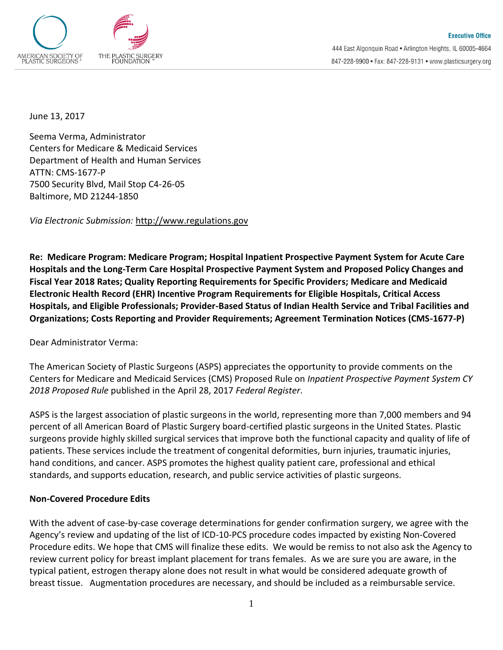

June 13, 2017

Seema Verma, Administrator Centers for Medicare & Medicaid Services Department of Health and Human Services ATTN: CMS-1677-P 7500 Security Blvd, Mail Stop C4-26-05 Baltimore, MD 21244-1850

*Via Electronic Submission:* [http://www.regulations.gov](http://www.regulations.gov/)

**Re: Medicare Program: Medicare Program; Hospital Inpatient Prospective Payment System for Acute Care Hospitals and the Long-Term Care Hospital Prospective Payment System and Proposed Policy Changes and Fiscal Year 2018 Rates; Quality Reporting Requirements for Specific Providers; Medicare and Medicaid Electronic Health Record (EHR) Incentive Program Requirements for Eligible Hospitals, Critical Access Hospitals, and Eligible Professionals; Provider-Based Status of Indian Health Service and Tribal Facilities and Organizations; Costs Reporting and Provider Requirements; Agreement Termination Notices (CMS-1677-P)** 

Dear Administrator Verma:

The American Society of Plastic Surgeons (ASPS) appreciates the opportunity to provide comments on the Centers for Medicare and Medicaid Services (CMS) Proposed Rule on *Inpatient Prospective Payment System CY 2018 Proposed Rule* published in the April 28, 2017 *Federal Register*.

ASPS is the largest association of plastic surgeons in the world, representing more than 7,000 members and 94 percent of all American Board of Plastic Surgery board-certified plastic surgeons in the United States. Plastic surgeons provide highly skilled surgical services that improve both the functional capacity and quality of life of patients. These services include the treatment of congenital deformities, burn injuries, traumatic injuries, hand conditions, and cancer. ASPS promotes the highest quality patient care, professional and ethical standards, and supports education, research, and public service activities of plastic surgeons.

#### **Non-Covered Procedure Edits**

With the advent of case-by-case coverage determinations for gender confirmation surgery, we agree with the Agency's review and updating of the list of ICD-10-PCS procedure codes impacted by existing Non-Covered Procedure edits. We hope that CMS will finalize these edits. We would be remiss to not also ask the Agency to review current policy for breast implant placement for trans females. As we are sure you are aware, in the typical patient, estrogen therapy alone does not result in what would be considered adequate growth of breast tissue. Augmentation procedures are necessary, and should be included as a reimbursable service.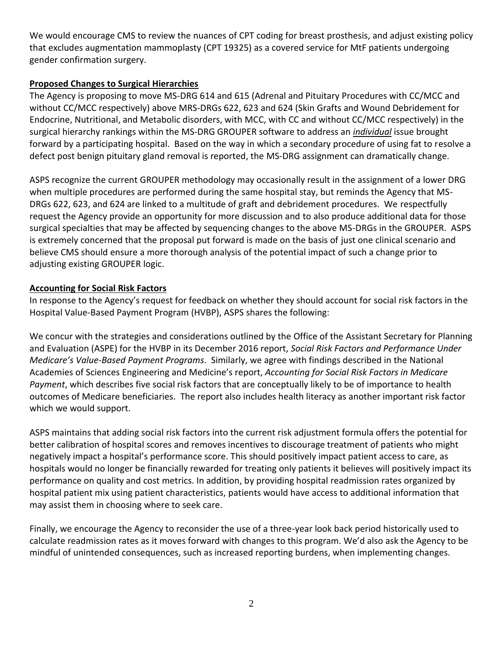We would encourage CMS to review the nuances of CPT coding for breast prosthesis, and adjust existing policy that excludes augmentation mammoplasty (CPT 19325) as a covered service for MtF patients undergoing gender confirmation surgery.

## **Proposed Changes to Surgical Hierarchies**

The Agency is proposing to move MS-DRG 614 and 615 (Adrenal and Pituitary Procedures with CC/MCC and without CC/MCC respectively) above MRS-DRGs 622, 623 and 624 (Skin Grafts and Wound Debridement for Endocrine, Nutritional, and Metabolic disorders, with MCC, with CC and without CC/MCC respectively) in the surgical hierarchy rankings within the MS-DRG GROUPER software to address an *individual* issue brought forward by a participating hospital. Based on the way in which a secondary procedure of using fat to resolve a defect post benign pituitary gland removal is reported, the MS-DRG assignment can dramatically change.

ASPS recognize the current GROUPER methodology may occasionally result in the assignment of a lower DRG when multiple procedures are performed during the same hospital stay, but reminds the Agency that MS-DRGs 622, 623, and 624 are linked to a multitude of graft and debridement procedures. We respectfully request the Agency provide an opportunity for more discussion and to also produce additional data for those surgical specialties that may be affected by sequencing changes to the above MS-DRGs in the GROUPER. ASPS is extremely concerned that the proposal put forward is made on the basis of just one clinical scenario and believe CMS should ensure a more thorough analysis of the potential impact of such a change prior to adjusting existing GROUPER logic.

# **Accounting for Social Risk Factors**

In response to the Agency's request for feedback on whether they should account for social risk factors in the Hospital Value-Based Payment Program (HVBP), ASPS shares the following:

We concur with the strategies and considerations outlined by the Office of the Assistant Secretary for Planning and Evaluation (ASPE) for the HVBP in its December 2016 report, *Social Risk Factors and Performance Under Medicare's Value-Based Payment Programs*. Similarly, we agree with findings described in the National Academies of Sciences Engineering and Medicine's report, *Accounting for Social Risk Factors in Medicare Payment*, which describes five social risk factors that are conceptually likely to be of importance to health outcomes of Medicare beneficiaries. The report also includes health literacy as another important risk factor which we would support.

ASPS maintains that adding social risk factors into the current risk adjustment formula offers the potential for better calibration of hospital scores and removes incentives to discourage treatment of patients who might negatively impact a hospital's performance score. This should positively impact patient access to care, as hospitals would no longer be financially rewarded for treating only patients it believes will positively impact its performance on quality and cost metrics. In addition, by providing hospital readmission rates organized by hospital patient mix using patient characteristics, patients would have access to additional information that may assist them in choosing where to seek care.

Finally, we encourage the Agency to reconsider the use of a three-year look back period historically used to calculate readmission rates as it moves forward with changes to this program. We'd also ask the Agency to be mindful of unintended consequences, such as increased reporting burdens, when implementing changes.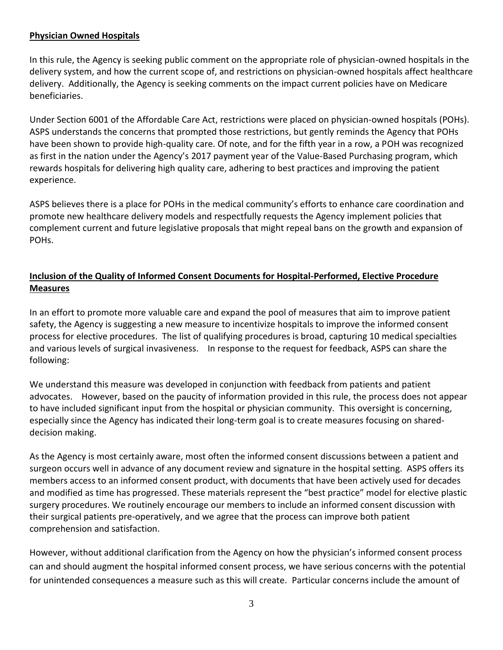### **Physician Owned Hospitals**

In this rule, the Agency is seeking public comment on the appropriate role of physician-owned hospitals in the delivery system, and how the current scope of, and restrictions on physician-owned hospitals affect healthcare delivery. Additionally, the Agency is seeking comments on the impact current policies have on Medicare beneficiaries.

Under Section 6001 of the Affordable Care Act, restrictions were placed on physician-owned hospitals (POHs). ASPS understands the concerns that prompted those restrictions, but gently reminds the Agency that POHs have been shown to provide high-quality care. Of note, and for the fifth year in a row, a POH was recognized as first in the nation under the Agency's 2017 payment year of the Value-Based Purchasing program, which rewards hospitals for delivering high quality care, adhering to best practices and improving the patient experience.

ASPS believes there is a place for POHs in the medical community's efforts to enhance care coordination and promote new healthcare delivery models and respectfully requests the Agency implement policies that complement current and future legislative proposals that might repeal bans on the growth and expansion of POHs.

# **Inclusion of the Quality of Informed Consent Documents for Hospital-Performed, Elective Procedure Measures**

In an effort to promote more valuable care and expand the pool of measures that aim to improve patient safety, the Agency is suggesting a new measure to incentivize hospitals to improve the informed consent process for elective procedures. The list of qualifying procedures is broad, capturing 10 medical specialties and various levels of surgical invasiveness. In response to the request for feedback, ASPS can share the following:

We understand this measure was developed in conjunction with feedback from patients and patient advocates. However, based on the paucity of information provided in this rule, the process does not appear to have included significant input from the hospital or physician community. This oversight is concerning, especially since the Agency has indicated their long-term goal is to create measures focusing on shareddecision making.

As the Agency is most certainly aware, most often the informed consent discussions between a patient and surgeon occurs well in advance of any document review and signature in the hospital setting. ASPS offers its members access to an informed consent product, with documents that have been actively used for decades and modified as time has progressed. These materials represent the "best practice" model for elective plastic surgery procedures. We routinely encourage our members to include an informed consent discussion with their surgical patients pre-operatively, and we agree that the process can improve both patient comprehension and satisfaction.

However, without additional clarification from the Agency on how the physician's informed consent process can and should augment the hospital informed consent process, we have serious concerns with the potential for unintended consequences a measure such as this will create. Particular concerns include the amount of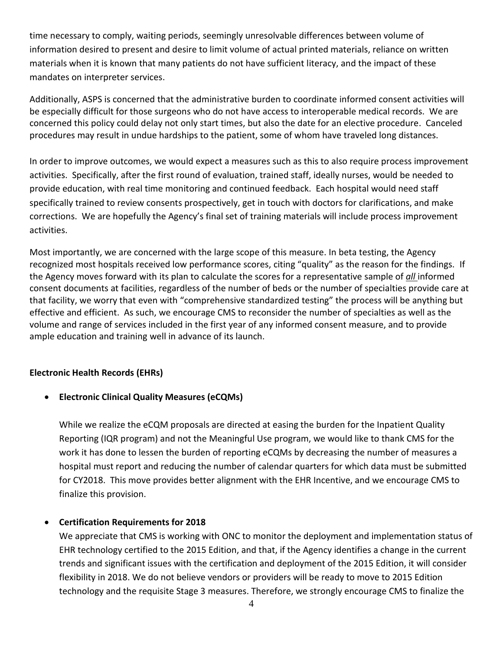time necessary to comply, waiting periods, seemingly unresolvable differences between volume of information desired to present and desire to limit volume of actual printed materials, reliance on written materials when it is known that many patients do not have sufficient literacy, and the impact of these mandates on interpreter services.

Additionally, ASPS is concerned that the administrative burden to coordinate informed consent activities will be especially difficult for those surgeons who do not have access to interoperable medical records. We are concerned this policy could delay not only start times, but also the date for an elective procedure. Canceled procedures may result in undue hardships to the patient, some of whom have traveled long distances.

In order to improve outcomes, we would expect a measures such as this to also require process improvement activities. Specifically, after the first round of evaluation, trained staff, ideally nurses, would be needed to provide education, with real time monitoring and continued feedback. Each hospital would need staff specifically trained to review consents prospectively, get in touch with doctors for clarifications, and make corrections. We are hopefully the Agency's final set of training materials will include process improvement activities.

Most importantly, we are concerned with the large scope of this measure. In beta testing, the Agency recognized most hospitals received low performance scores, citing "quality" as the reason for the findings. If the Agency moves forward with its plan to calculate the scores for a representative sample of *all* informed consent documents at facilities, regardless of the number of beds or the number of specialties provide care at that facility, we worry that even with "comprehensive standardized testing" the process will be anything but effective and efficient. As such, we encourage CMS to reconsider the number of specialties as well as the volume and range of services included in the first year of any informed consent measure, and to provide ample education and training well in advance of its launch.

## **Electronic Health Records (EHRs)**

## **Electronic Clinical Quality Measures (eCQMs)**

While we realize the eCQM proposals are directed at easing the burden for the Inpatient Quality Reporting (IQR program) and not the Meaningful Use program, we would like to thank CMS for the work it has done to lessen the burden of reporting eCQMs by decreasing the number of measures a hospital must report and reducing the number of calendar quarters for which data must be submitted for CY2018. This move provides better alignment with the EHR Incentive, and we encourage CMS to finalize this provision.

## **Certification Requirements for 2018**

We appreciate that CMS is working with ONC to monitor the deployment and implementation status of EHR technology certified to the 2015 Edition, and that, if the Agency identifies a change in the current trends and significant issues with the certification and deployment of the 2015 Edition, it will consider flexibility in 2018. We do not believe vendors or providers will be ready to move to 2015 Edition technology and the requisite Stage 3 measures. Therefore, we strongly encourage CMS to finalize the